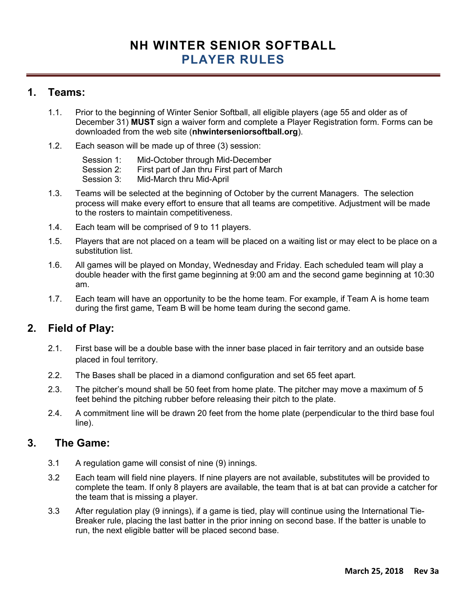# NH WINTER SENIOR SOFTBALL PLAYER RULES

#### 1. Teams:

- 1.1. Prior to the beginning of Winter Senior Softball, all eligible players (age 55 and older as of December 31) MUST sign a waiver form and complete a Player Registration form. Forms can be downloaded from the web site (nhwinterseniorsoftball.org).
- 1.2. Each season will be made up of three (3) session:
	- Session 1: Mid-October through Mid-December Session 2: First part of Jan thru First part of March Session 3: Mid-March thru Mid-April
- 1.3. Teams will be selected at the beginning of October by the current Managers. The selection process will make every effort to ensure that all teams are competitive. Adjustment will be made to the rosters to maintain competitiveness.
- 1.4. Each team will be comprised of 9 to 11 players.
- 1.5. Players that are not placed on a team will be placed on a waiting list or may elect to be place on a substitution list.
- 1.6. All games will be played on Monday, Wednesday and Friday. Each scheduled team will play a double header with the first game beginning at 9:00 am and the second game beginning at 10:30 am.
- 1.7. Each team will have an opportunity to be the home team. For example, if Team A is home team during the first game, Team B will be home team during the second game.

### 2. Field of Play:

- 2.1. First base will be a double base with the inner base placed in fair territory and an outside base placed in foul territory.
- 2.2. The Bases shall be placed in a diamond configuration and set 65 feet apart.
- 2.3. The pitcher's mound shall be 50 feet from home plate. The pitcher may move a maximum of 5 feet behind the pitching rubber before releasing their pitch to the plate.
- 2.4. A commitment line will be drawn 20 feet from the home plate (perpendicular to the third base foul line).

#### 3. The Game:

- 3.1 A regulation game will consist of nine (9) innings.
- 3.2 Each team will field nine players. If nine players are not available, substitutes will be provided to complete the team. If only 8 players are available, the team that is at bat can provide a catcher for the team that is missing a player.
- 3.3 After regulation play (9 innings), if a game is tied, play will continue using the International Tie-Breaker rule, placing the last batter in the prior inning on second base. If the batter is unable to run, the next eligible batter will be placed second base.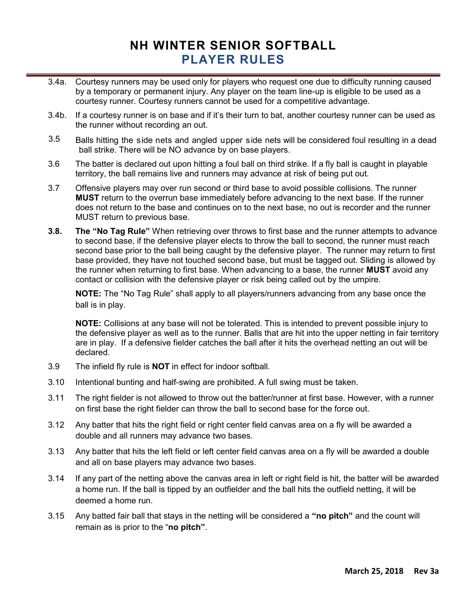### NH WINTER SENIOR SOFTBALL PLAYER RULES

- 3.4a. Courtesy runners may be used only for players who request one due to difficulty running caused by a temporary or permanent injury. Any player on the team line-up is eligible to be used as a courtesy runner. Courtesy runners cannot be used for a competitive advantage.
- 3.4b. If a courtesy runner is on base and if it's their turn to bat, another courtesy runner can be used as the runner without recording an out.
- 3.5 Balls hitting the side nets and angled upper side nets will be considered foul resulting in a dead ball strike. There will be NO advance by on base players.
- 3.6 The batter is declared out upon hitting a foul ball on third strike. If a fly ball is caught in playable territory, the ball remains live and runners may advance at risk of being put out.
- 3.7 Offensive players may over run second or third base to avoid possible collisions. The runner **MUST** return to the overrun base immediately before advancing to the next base. If the runner does not return to the base and continues on to the next base, no out is recorder and the runner MUST return to previous base.
- 3.8. The "No Tag Rule" When retrieving over throws to first base and the runner attempts to advance to second base, if the defensive player elects to throw the ball to second, the runner must reach second base prior to the ball being caught by the defensive player. The runner may return to first base provided, they have not touched second base, but must be tagged out. Sliding is allowed by the runner when returning to first base. When advancing to a base, the runner **MUST** avoid any contact or collision with the defensive player or risk being called out by the umpire.

NOTE: The "No Tag Rule" shall apply to all players/runners advancing from any base once the ball is in play.

NOTE: Collisions at any base will not be tolerated. This is intended to prevent possible injury to the defensive player as well as to the runner. Balls that are hit into the upper netting in fair territory are in play. If a defensive fielder catches the ball after it hits the overhead netting an out will be declared.

- 3.9 The infield fly rule is **NOT** in effect for indoor softball.
- 3.10 Intentional bunting and half-swing are prohibited. A full swing must be taken.
- 3.11 The right fielder is not allowed to throw out the batter/runner at first base. However, with a runner on first base the right fielder can throw the ball to second base for the force out.
- 3.12 Any batter that hits the right field or right center field canvas area on a fly will be awarded a double and all runners may advance two bases.
- 3.13 Any batter that hits the left field or left center field canvas area on a fly will be awarded a double and all on base players may advance two bases.
- 3.14 If any part of the netting above the canvas area in left or right field is hit, the batter will be awarded a home run. If the ball is tipped by an outfielder and the ball hits the outfield netting, it will be deemed a home run.
- 3.15 Any batted fair ball that stays in the netting will be considered a "no pitch" and the count will remain as is prior to the "no pitch".